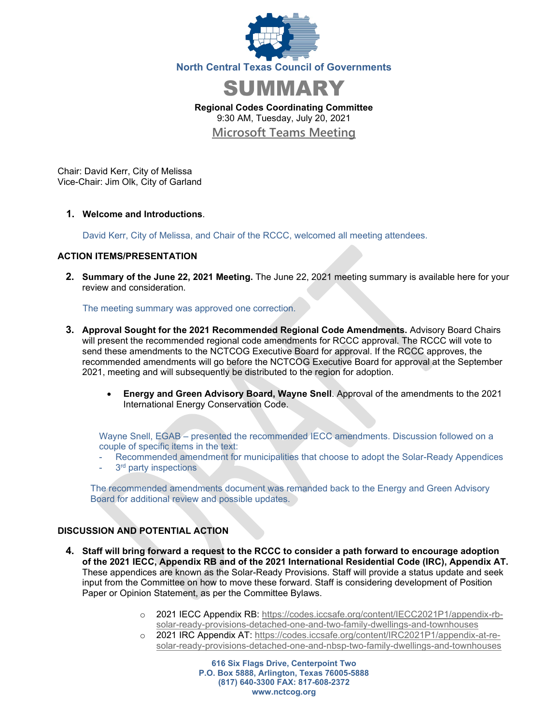



**Regional Codes Coordinating Committee** 9:30 AM, Tuesday, July 20, 2021 **[Microsoft Teams Meeting](https://nam12.safelinks.protection.outlook.com/ap/t-59584e83/?url=https%3A%2F%2Fteams.microsoft.com%2Fl%2Fmeetup-join%2F19%253ameeting_MTcwNjRlMjMtOGE1Ny00MzM1LTgyYTQtODI3MmFhYTNkODIx%2540thread.v2%2F0%3Fcontext%3D%257b%2522Tid%2522%253a%25222f5e7ebc-22b0-4fbe-934c-aabddb4e29b1%2522%252c%2522Oid%2522%253a%2522cab28b78-d671-4384-9c8e-6035f7c46b7d%2522%257d&data=04%7C01%7CCHorner%40nctcog.org%7C09099b67fcc64f777ee708d93bc07fb7%7C2f5e7ebc22b04fbe934caabddb4e29b1%7C0%7C0%7C637606520228712109%7CUnknown%7CTWFpbGZsb3d8eyJWIjoiMC4wLjAwMDAiLCJQIjoiV2luMzIiLCJBTiI6Ik1haWwiLCJXVCI6Mn0%3D%7C1000&sdata=zYABAW3IpIOg8r0UJZt%2F13qDtsMXpWfFgliSQxHxO0c%3D&reserved=0)**

Chair: David Kerr, City of Melissa Vice-Chair: Jim Olk, City of Garland

**1. Welcome and Introductions**.

David Kerr, City of Melissa, and Chair of the RCCC, welcomed all meeting attendees.

## **ACTION ITEMS/PRESENTATION**

**2. Summary of the June 22, 2021 Meeting.** The June 22, 2021 meeting summary is available here for your review and consideration.

The meeting summary was approved one correction.

- **3. Approval Sought for the 2021 Recommended Regional Code Amendments.** Advisory Board Chairs will present the recommended regional code amendments for RCCC approval. The RCCC will vote to send these amendments to the NCTCOG Executive Board for approval. If the RCCC approves, the recommended amendments will go before the NCTCOG Executive Board for approval at the September 2021, meeting and will subsequently be distributed to the region for adoption.
	- **Energy and Green Advisory Board, Wayne Snell**. Approval of the amendments to the 2021 International Energy Conservation Code.

Wayne Snell, EGAB – presented the recommended IECC amendments. Discussion followed on a couple of specific items in the text:

- Recommended amendment for municipalities that choose to adopt the Solar-Ready Appendices
- 3<sup>rd</sup> party inspections

The recommended amendments document was remanded back to the Energy and Green Advisory Board for additional review and possible updates.

## **DISCUSSION AND POTENTIAL ACTION**

- **4. Staff will bring forward a request to the RCCC to consider a path forward to encourage adoption of the 2021 IECC, Appendix RB and of the 2021 International Residential Code (IRC), Appendix AT.**  These appendices are known as the Solar-Ready Provisions. Staff will provide a status update and seek input from the Committee on how to move these forward. Staff is considering development of Position Paper or Opinion Statement, as per the Committee Bylaws.
	- o 2021 IECC Appendix RB: [https://codes.iccsafe.org/content/IECC2021P1/appendix-rb](https://codes.iccsafe.org/content/IECC2021P1/appendix-rb-solar-ready-provisions-detached-one-and-two-family-dwellings-and-townhouses)[solar-ready-provisions-detached-one-and-two-family-dwellings-and-townhouses](https://codes.iccsafe.org/content/IECC2021P1/appendix-rb-solar-ready-provisions-detached-one-and-two-family-dwellings-and-townhouses)
	- o 2021 IRC Appendix AT: [https://codes.iccsafe.org/content/IRC2021P1/appendix-at-re](https://codes.iccsafe.org/content/IRC2021P1/appendix-at-re-solar-ready-provisions-detached-one-and-nbsp-two-family-dwellings-and-townhouses)[solar-ready-provisions-detached-one-and-nbsp-two-family-dwellings-and-townhouses](https://codes.iccsafe.org/content/IRC2021P1/appendix-at-re-solar-ready-provisions-detached-one-and-nbsp-two-family-dwellings-and-townhouses)

**616 Six Flags Drive, Centerpoint Two P.O. Box 5888, Arlington, Texas 76005-5888 (817) 640-3300 FAX: 817-608-2372 www.nctcog.org**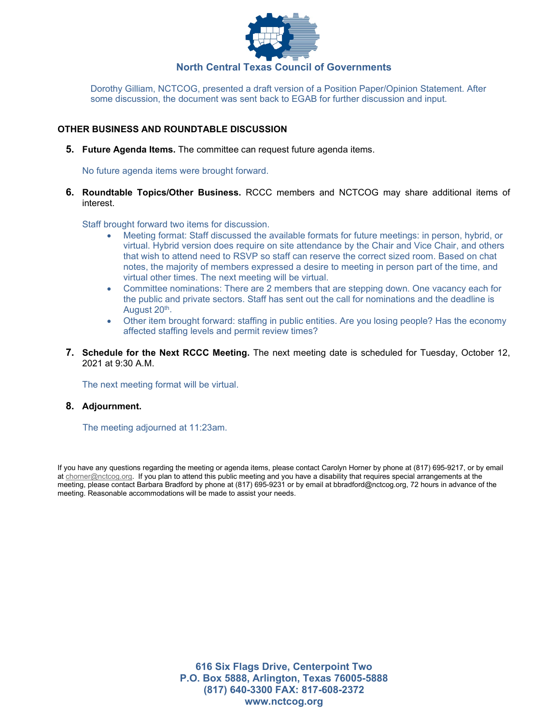

Dorothy Gilliam, NCTCOG, presented a draft version of a Position Paper/Opinion Statement. After some discussion, the document was sent back to EGAB for further discussion and input.

## **OTHER BUSINESS AND ROUNDTABLE DISCUSSION**

**5. Future Agenda Items.** The committee can request future agenda items.

No future agenda items were brought forward.

**6. Roundtable Topics/Other Business.** RCCC members and NCTCOG may share additional items of interest.

Staff brought forward two items for discussion.

- Meeting format: Staff discussed the available formats for future meetings: in person, hybrid, or virtual. Hybrid version does require on site attendance by the Chair and Vice Chair, and others that wish to attend need to RSVP so staff can reserve the correct sized room. Based on chat notes, the majority of members expressed a desire to meeting in person part of the time, and virtual other times. The next meeting will be virtual.
- Committee nominations: There are 2 members that are stepping down. One vacancy each for the public and private sectors. Staff has sent out the call for nominations and the deadline is August 20<sup>th</sup>.
- Other item brought forward: staffing in public entities. Are you losing people? Has the economy affected staffing levels and permit review times?
- **7. Schedule for the Next RCCC Meeting.** The next meeting date is scheduled for Tuesday, October 12, 2021 at 9:30 A.M.

The next meeting format will be virtual.

## **8. Adjournment.**

The meeting adjourned at 11:23am.

If you have any questions regarding the meeting or agenda items, please contact Carolyn Horner by phone at (817) 695-9217, or by email at [chorner@nctcog.org.](mailto:chorner@nctcog.org) If you plan to attend this public meeting and you have a disability that requires special arrangements at the meeting, please contact Barbara Bradford by phone at (817) 695-9231 or by email at bbradford@nctcog.org, 72 hours in advance of the meeting. Reasonable accommodations will be made to assist your needs.

> **616 Six Flags Drive, Centerpoint Two P.O. Box 5888, Arlington, Texas 76005-5888 (817) 640-3300 FAX: 817-608-2372 www.nctcog.org**